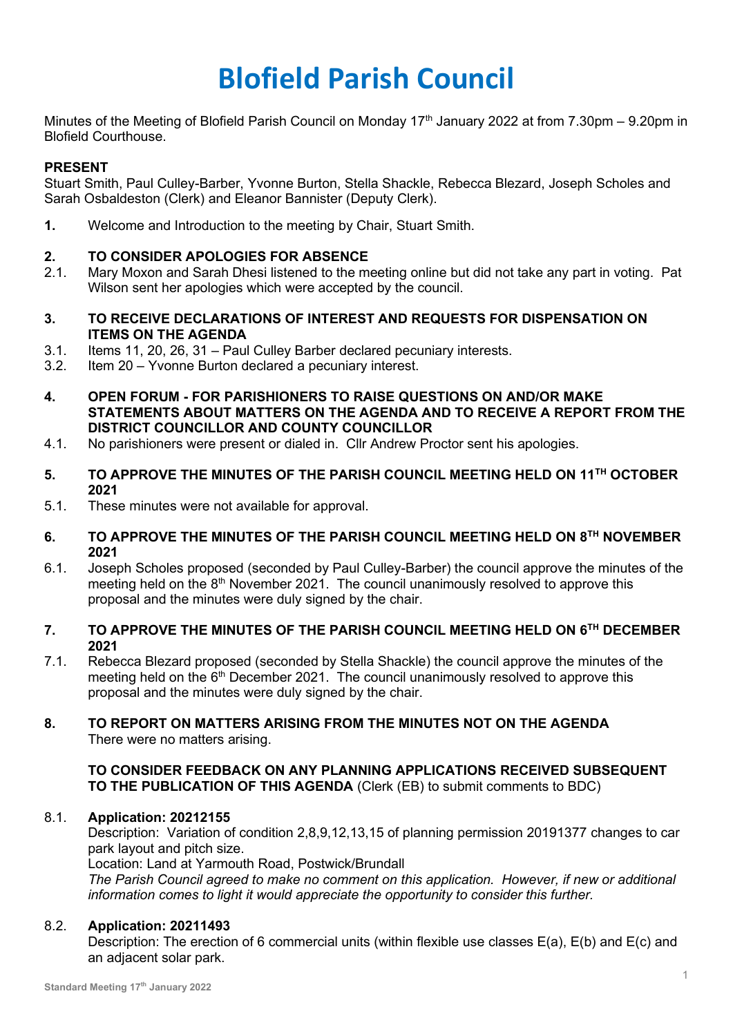# **Blofield Parish Council**

Minutes of the Meeting of Blofield Parish Council on Monday 17<sup>th</sup> January 2022 at from 7.30pm – 9.20pm in Blofield Courthouse.

# **PRESENT**

Stuart Smith, Paul Culley-Barber, Yvonne Burton, Stella Shackle, Rebecca Blezard, Joseph Scholes and Sarah Osbaldeston (Clerk) and Eleanor Bannister (Deputy Clerk).

**1.** Welcome and Introduction to the meeting by Chair, Stuart Smith.

#### **2. TO CONSIDER APOLOGIES FOR ABSENCE**

- 2.1. Mary Moxon and Sarah Dhesi listened to the meeting online but did not take any part in voting. Pat Wilson sent her apologies which were accepted by the council.
- **3. TO RECEIVE DECLARATIONS OF INTEREST AND REQUESTS FOR DISPENSATION ON ITEMS ON THE AGENDA**
- 3.1. Items 11, 20, 26, 31 Paul Culley Barber declared pecuniary interests.
- 3.2. Item 20 Yvonne Burton declared a pecuniary interest.
- **4. OPEN FORUM - FOR PARISHIONERS TO RAISE QUESTIONS ON AND/OR MAKE STATEMENTS ABOUT MATTERS ON THE AGENDA AND TO RECEIVE A REPORT FROM THE DISTRICT COUNCILLOR AND COUNTY COUNCILLOR**
- 4.1. No parishioners were present or dialed in. Cllr Andrew Proctor sent his apologies.
- **5. TO APPROVE THE MINUTES OF THE PARISH COUNCIL MEETING HELD ON 11TH OCTOBER 2021**
- 5.1. These minutes were not available for approval.
- **6. TO APPROVE THE MINUTES OF THE PARISH COUNCIL MEETING HELD ON 8TH NOVEMBER 2021**
- 6.1. Joseph Scholes proposed (seconded by Paul Culley-Barber) the council approve the minutes of the meeting held on the  $8<sup>th</sup>$  November 2021. The council unanimously resolved to approve this proposal and the minutes were duly signed by the chair.
- **7. TO APPROVE THE MINUTES OF THE PARISH COUNCIL MEETING HELD ON 6TH DECEMBER 2021**
- 7.1. Rebecca Blezard proposed (seconded by Stella Shackle) the council approve the minutes of the meeting held on the  $6<sup>th</sup>$  December 2021. The council unanimously resolved to approve this proposal and the minutes were duly signed by the chair.
- **8. TO REPORT ON MATTERS ARISING FROM THE MINUTES NOT ON THE AGENDA** There were no matters arising.

# **TO CONSIDER FEEDBACK ON ANY PLANNING APPLICATIONS RECEIVED SUBSEQUENT TO THE PUBLICATION OF THIS AGENDA** (Clerk (EB) to submit comments to BDC)

# 8.1. **Application: 20212155**

Description: Variation of condition 2,8,9,12,13,15 of planning permission 20191377 changes to car park layout and pitch size.

Location: Land at Yarmouth Road, Postwick/Brundall

*The Parish Council agreed to make no comment on this application. However, if new or additional information comes to light it would appreciate the opportunity to consider this further.* 

#### 8.2. **Application: 20211493**

Description: The erection of 6 commercial units (within flexible use classes E(a), E(b) and E(c) and an adjacent solar park.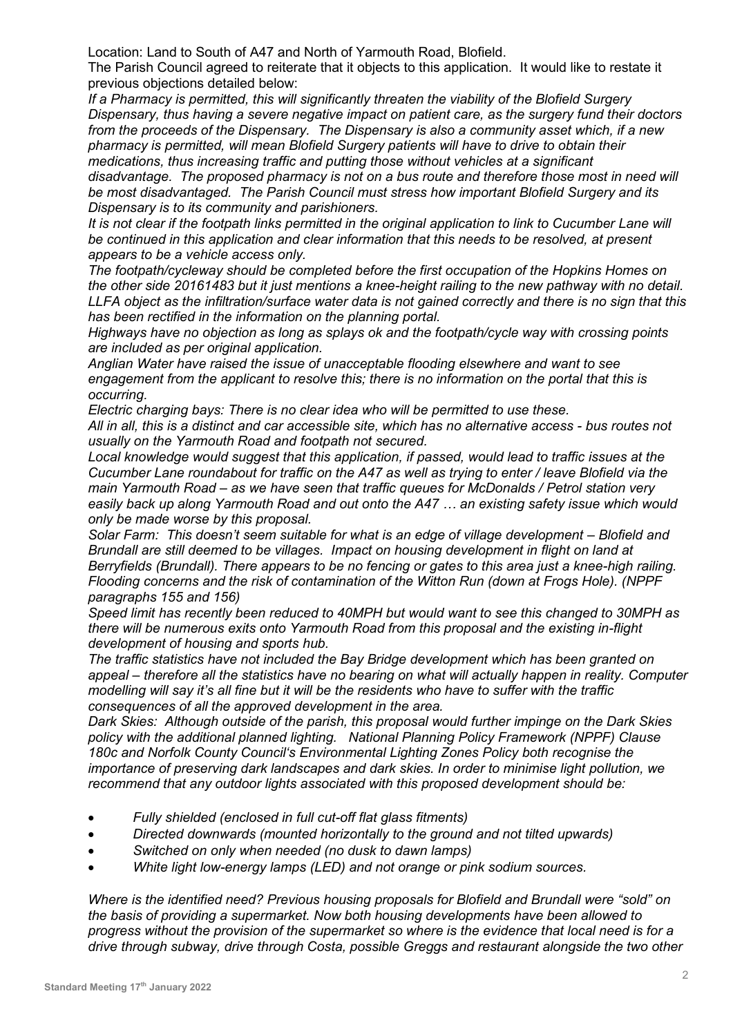Location: Land to South of A47 and North of Yarmouth Road, Blofield.

The Parish Council agreed to reiterate that it objects to this application. It would like to restate it previous objections detailed below:

*If a Pharmacy is permitted, this will significantly threaten the viability of the Blofield Surgery Dispensary, thus having a severe negative impact on patient care, as the surgery fund their doctors from the proceeds of the Dispensary. The Dispensary is also a community asset which, if a new pharmacy is permitted, will mean Blofield Surgery patients will have to drive to obtain their medications, thus increasing traffic and putting those without vehicles at a significant disadvantage. The proposed pharmacy is not on a bus route and therefore those most in need will be most disadvantaged. The Parish Council must stress how important Blofield Surgery and its Dispensary is to its community and parishioners.* 

*It is not clear if the footpath links permitted in the original application to link to Cucumber Lane will be continued in this application and clear information that this needs to be resolved, at present appears to be a vehicle access only.*

*The footpath/cycleway should be completed before the first occupation of the Hopkins Homes on the other side 20161483 but it just mentions a knee-height railing to the new pathway with no detail. LLFA object as the infiltration/surface water data is not gained correctly and there is no sign that this has been rectified in the information on the planning portal.*

*Highways have no objection as long as splays ok and the footpath/cycle way with crossing points are included as per original application.*

*Anglian Water have raised the issue of unacceptable flooding elsewhere and want to see engagement from the applicant to resolve this; there is no information on the portal that this is occurring.*

*Electric charging bays: There is no clear idea who will be permitted to use these.*

*All in all, this is a distinct and car accessible site, which has no alternative access - bus routes not usually on the Yarmouth Road and footpath not secured.*

*Local knowledge would suggest that this application, if passed, would lead to traffic issues at the Cucumber Lane roundabout for traffic on the A47 as well as trying to enter / leave Blofield via the main Yarmouth Road – as we have seen that traffic queues for McDonalds / Petrol station very easily back up along Yarmouth Road and out onto the A47 … an existing safety issue which would only be made worse by this proposal.* 

*Solar Farm: This doesn't seem suitable for what is an edge of village development – Blofield and Brundall are still deemed to be villages. Impact on housing development in flight on land at Berryfields (Brundall). There appears to be no fencing or gates to this area just a knee-high railing. Flooding concerns and the risk of contamination of the Witton Run (down at Frogs Hole). (NPPF paragraphs 155 and 156)*

*Speed limit has recently been reduced to 40MPH but would want to see this changed to 30MPH as there will be numerous exits onto Yarmouth Road from this proposal and the existing in-flight development of housing and sports hub.* 

*The traffic statistics have not included the Bay Bridge development which has been granted on appeal – therefore all the statistics have no bearing on what will actually happen in reality. Computer modelling will say it's all fine but it will be the residents who have to suffer with the traffic consequences of all the approved development in the area.* 

*Dark Skies: Although outside of the parish, this proposal would further impinge on the Dark Skies policy with the additional planned lighting. National Planning Policy Framework (NPPF) Clause 180c and Norfolk County Council's Environmental Lighting Zones Policy both recognise the importance of preserving dark landscapes and dark skies. In order to minimise light pollution, we recommend that any outdoor lights associated with this proposed development should be:* 

- *Fully shielded (enclosed in full cut-off flat glass fitments)*
- *Directed downwards (mounted horizontally to the ground and not tilted upwards)*
- *Switched on only when needed (no dusk to dawn lamps)*
- *White light low-energy lamps (LED) and not orange or pink sodium sources.*

*Where is the identified need? Previous housing proposals for Blofield and Brundall were "sold" on the basis of providing a supermarket. Now both housing developments have been allowed to progress without the provision of the supermarket so where is the evidence that local need is for a drive through subway, drive through Costa, possible Greggs and restaurant alongside the two other*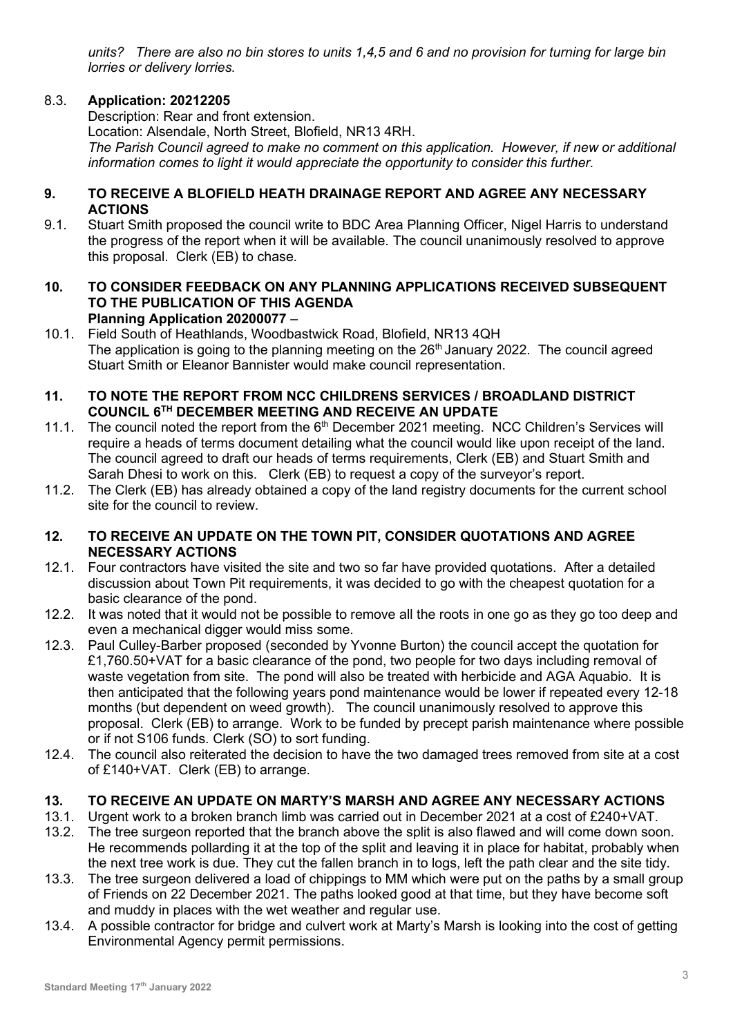*units? There are also no bin stores to units 1,4,5 and 6 and no provision for turning for large bin lorries or delivery lorries.*

# 8.3. **Application: 20212205**

Description: Rear and front extension. Location: Alsendale, North Street, Blofield, NR13 4RH. *The Parish Council agreed to make no comment on this application. However, if new or additional information comes to light it would appreciate the opportunity to consider this further.*

# **9. TO RECEIVE A BLOFIELD HEATH DRAINAGE REPORT AND AGREE ANY NECESSARY ACTIONS**

9.1. Stuart Smith proposed the council write to BDC Area Planning Officer, Nigel Harris to understand the progress of the report when it will be available. The council unanimously resolved to approve this proposal. Clerk (EB) to chase.

#### **10. TO CONSIDER FEEDBACK ON ANY PLANNING APPLICATIONS RECEIVED SUBSEQUENT TO THE PUBLICATION OF THIS AGENDA Planning Application 20200077** –

10.1. Field South of Heathlands, Woodbastwick Road, Blofield, NR13 4QH The application is going to the planning meeting on the  $26<sup>th</sup>$  January 2022. The council agreed Stuart Smith or Eleanor Bannister would make council representation.

#### **11. TO NOTE THE REPORT FROM NCC CHILDRENS SERVICES / BROADLAND DISTRICT COUNCIL 6TH DECEMBER MEETING AND RECEIVE AN UPDATE**

- 11.1. The council noted the report from the 6<sup>th</sup> December 2021 meeting. NCC Children's Services will require a heads of terms document detailing what the council would like upon receipt of the land. The council agreed to draft our heads of terms requirements, Clerk (EB) and Stuart Smith and Sarah Dhesi to work on this. Clerk (EB) to request a copy of the surveyor's report.
- 11.2. The Clerk (EB) has already obtained a copy of the land registry documents for the current school site for the council to review.

# **12. TO RECEIVE AN UPDATE ON THE TOWN PIT, CONSIDER QUOTATIONS AND AGREE NECESSARY ACTIONS**

- 12.1. Four contractors have visited the site and two so far have provided quotations. After a detailed discussion about Town Pit requirements, it was decided to go with the cheapest quotation for a basic clearance of the pond.
- 12.2. It was noted that it would not be possible to remove all the roots in one go as they go too deep and even a mechanical digger would miss some.
- 12.3. Paul Culley-Barber proposed (seconded by Yvonne Burton) the council accept the quotation for £1,760.50+VAT for a basic clearance of the pond, two people for two days including removal of waste vegetation from site. The pond will also be treated with herbicide and AGA Aquabio. It is then anticipated that the following years pond maintenance would be lower if repeated every 12-18 months (but dependent on weed growth). The council unanimously resolved to approve this proposal. Clerk (EB) to arrange. Work to be funded by precept parish maintenance where possible or if not S106 funds. Clerk (SO) to sort funding.
- 12.4. The council also reiterated the decision to have the two damaged trees removed from site at a cost of £140+VAT. Clerk (EB) to arrange.

# **13. TO RECEIVE AN UPDATE ON MARTY'S MARSH AND AGREE ANY NECESSARY ACTIONS**

- 13.1. Urgent work to a broken branch limb was carried out in December 2021 at a cost of £240+VAT.
- 13.2. The tree surgeon reported that the branch above the split is also flawed and will come down soon. He recommends pollarding it at the top of the split and leaving it in place for habitat, probably when the next tree work is due. They cut the fallen branch in to logs, left the path clear and the site tidy.
- 13.3. The tree surgeon delivered a load of chippings to MM which were put on the paths by a small group of Friends on 22 December 2021. The paths looked good at that time, but they have become soft and muddy in places with the wet weather and regular use.
- 13.4. A possible contractor for bridge and culvert work at Marty's Marsh is looking into the cost of getting Environmental Agency permit permissions.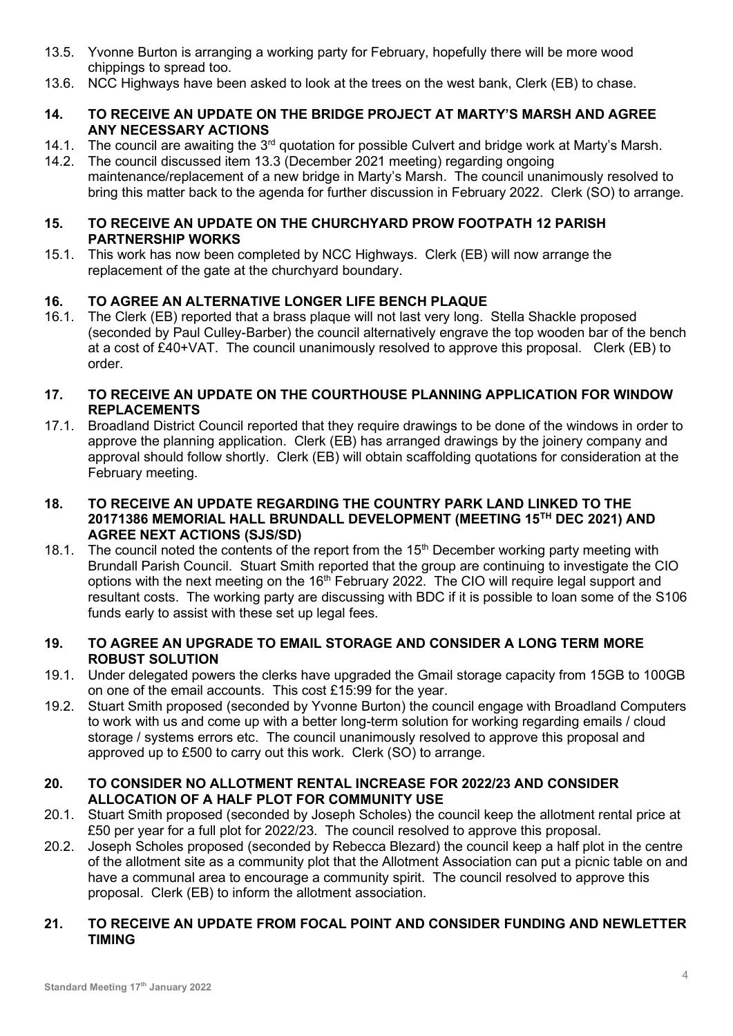- 13.5. Yvonne Burton is arranging a working party for February, hopefully there will be more wood chippings to spread too.
- 13.6. NCC Highways have been asked to look at the trees on the west bank, Clerk (EB) to chase.

# **14. TO RECEIVE AN UPDATE ON THE BRIDGE PROJECT AT MARTY'S MARSH AND AGREE ANY NECESSARY ACTIONS**

- 14.1. The council are awaiting the  $3<sup>rd</sup>$  quotation for possible Culvert and bridge work at Marty's Marsh.
- 14.2. The council discussed item 13.3 (December 2021 meeting) regarding ongoing maintenance/replacement of a new bridge in Marty's Marsh. The council unanimously resolved to bring this matter back to the agenda for further discussion in February 2022. Clerk (SO) to arrange.

# **15. TO RECEIVE AN UPDATE ON THE CHURCHYARD PROW FOOTPATH 12 PARISH PARTNERSHIP WORKS**

15.1. This work has now been completed by NCC Highways. Clerk (EB) will now arrange the replacement of the gate at the churchyard boundary.

# **16. TO AGREE AN ALTERNATIVE LONGER LIFE BENCH PLAQUE**

16.1. The Clerk (EB) reported that a brass plaque will not last very long. Stella Shackle proposed (seconded by Paul Culley-Barber) the council alternatively engrave the top wooden bar of the bench at a cost of £40+VAT. The council unanimously resolved to approve this proposal. Clerk (EB) to order.

#### **17. TO RECEIVE AN UPDATE ON THE COURTHOUSE PLANNING APPLICATION FOR WINDOW REPLACEMENTS**

- 17.1. Broadland District Council reported that they require drawings to be done of the windows in order to approve the planning application. Clerk (EB) has arranged drawings by the joinery company and approval should follow shortly. Clerk (EB) will obtain scaffolding quotations for consideration at the February meeting.
- **18. TO RECEIVE AN UPDATE REGARDING THE COUNTRY PARK LAND LINKED TO THE 20171386 MEMORIAL HALL BRUNDALL DEVELOPMENT (MEETING 15TH DEC 2021) AND AGREE NEXT ACTIONS (SJS/SD)**
- 18.1. The council noted the contents of the report from the  $15<sup>th</sup>$  December working party meeting with Brundall Parish Council. Stuart Smith reported that the group are continuing to investigate the CIO options with the next meeting on the 16<sup>th</sup> February 2022. The CIO will require legal support and resultant costs. The working party are discussing with BDC if it is possible to loan some of the S106 funds early to assist with these set up legal fees.

# **19. TO AGREE AN UPGRADE TO EMAIL STORAGE AND CONSIDER A LONG TERM MORE ROBUST SOLUTION**

- 19.1. Under delegated powers the clerks have upgraded the Gmail storage capacity from 15GB to 100GB on one of the email accounts. This cost £15:99 for the year.
- 19.2. Stuart Smith proposed (seconded by Yvonne Burton) the council engage with Broadland Computers to work with us and come up with a better long-term solution for working regarding emails / cloud storage / systems errors etc. The council unanimously resolved to approve this proposal and approved up to £500 to carry out this work. Clerk (SO) to arrange.

# **20. TO CONSIDER NO ALLOTMENT RENTAL INCREASE FOR 2022/23 AND CONSIDER ALLOCATION OF A HALF PLOT FOR COMMUNITY USE**

- 20.1. Stuart Smith proposed (seconded by Joseph Scholes) the council keep the allotment rental price at £50 per year for a full plot for 2022/23. The council resolved to approve this proposal.
- 20.2. Joseph Scholes proposed (seconded by Rebecca Blezard) the council keep a half plot in the centre of the allotment site as a community plot that the Allotment Association can put a picnic table on and have a communal area to encourage a community spirit. The council resolved to approve this proposal. Clerk (EB) to inform the allotment association.

# **21. TO RECEIVE AN UPDATE FROM FOCAL POINT AND CONSIDER FUNDING AND NEWLETTER TIMING**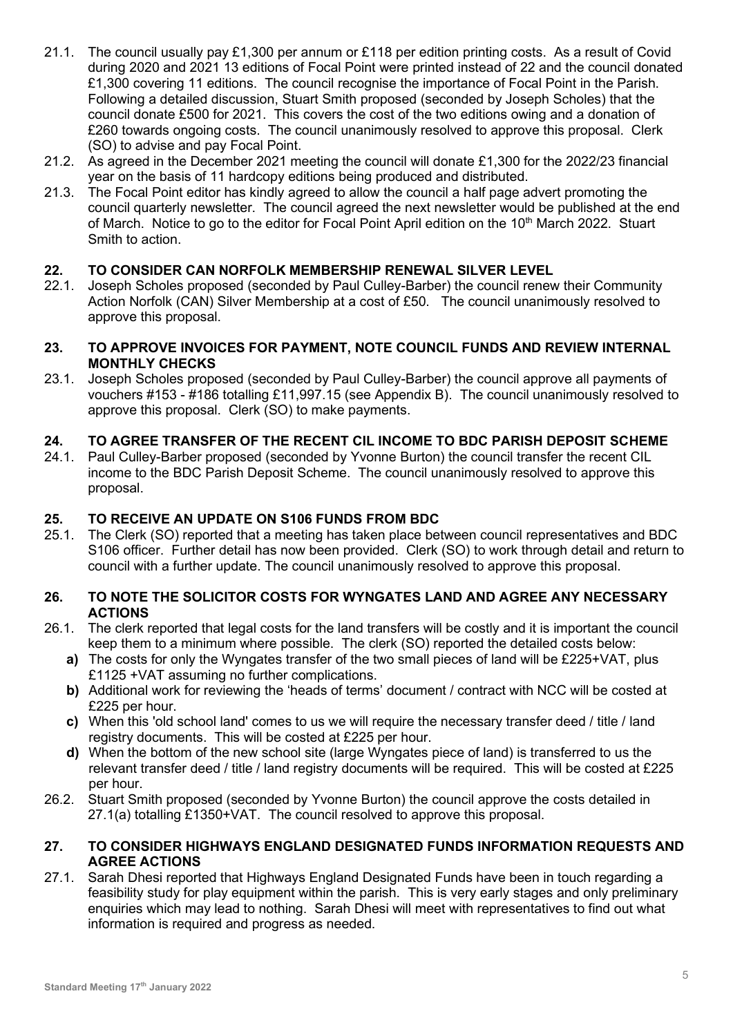- 21.1. The council usually pay £1,300 per annum or £118 per edition printing costs. As a result of Covid during 2020 and 2021 13 editions of Focal Point were printed instead of 22 and the council donated £1,300 covering 11 editions. The council recognise the importance of Focal Point in the Parish. Following a detailed discussion, Stuart Smith proposed (seconded by Joseph Scholes) that the council donate £500 for 2021. This covers the cost of the two editions owing and a donation of £260 towards ongoing costs. The council unanimously resolved to approve this proposal. Clerk (SO) to advise and pay Focal Point.
- 21.2. As agreed in the December 2021 meeting the council will donate £1,300 for the 2022/23 financial year on the basis of 11 hardcopy editions being produced and distributed.
- 21.3. The Focal Point editor has kindly agreed to allow the council a half page advert promoting the council quarterly newsletter. The council agreed the next newsletter would be published at the end of March. Notice to go to the editor for Focal Point April edition on the 10<sup>th</sup> March 2022. Stuart Smith to action.

# **22. TO CONSIDER CAN NORFOLK MEMBERSHIP RENEWAL SILVER LEVEL**

22.1. Joseph Scholes proposed (seconded by Paul Culley-Barber) the council renew their Community Action Norfolk (CAN) Silver Membership at a cost of £50. The council unanimously resolved to approve this proposal.

#### **23. TO APPROVE INVOICES FOR PAYMENT, NOTE COUNCIL FUNDS AND REVIEW INTERNAL MONTHLY CHECKS**

23.1. Joseph Scholes proposed (seconded by Paul Culley-Barber) the council approve all payments of vouchers #153 - #186 totalling £11,997.15 (see Appendix B). The council unanimously resolved to approve this proposal. Clerk (SO) to make payments.

# **24. TO AGREE TRANSFER OF THE RECENT CIL INCOME TO BDC PARISH DEPOSIT SCHEME**

24.1. Paul Culley-Barber proposed (seconded by Yvonne Burton) the council transfer the recent CIL income to the BDC Parish Deposit Scheme. The council unanimously resolved to approve this proposal.

# **25. TO RECEIVE AN UPDATE ON S106 FUNDS FROM BDC**

25.1. The Clerk (SO) reported that a meeting has taken place between council representatives and BDC S106 officer. Further detail has now been provided. Clerk (SO) to work through detail and return to council with a further update. The council unanimously resolved to approve this proposal.

# **26. TO NOTE THE SOLICITOR COSTS FOR WYNGATES LAND AND AGREE ANY NECESSARY ACTIONS**

- 26.1. The clerk reported that legal costs for the land transfers will be costly and it is important the council keep them to a minimum where possible. The clerk (SO) reported the detailed costs below:
	- **a)** The costs for only the Wyngates transfer of the two small pieces of land will be £225+VAT, plus £1125 +VAT assuming no further complications.
	- **b)** Additional work for reviewing the 'heads of terms' document / contract with NCC will be costed at £225 per hour.
	- **c)** When this 'old school land' comes to us we will require the necessary transfer deed / title / land registry documents. This will be costed at £225 per hour.
	- **d)** When the bottom of the new school site (large Wyngates piece of land) is transferred to us the relevant transfer deed / title / land registry documents will be required. This will be costed at £225 per hour.
- 26.2. Stuart Smith proposed (seconded by Yvonne Burton) the council approve the costs detailed in 27.1(a) totalling £1350+VAT. The council resolved to approve this proposal.

# **27. TO CONSIDER HIGHWAYS ENGLAND DESIGNATED FUNDS INFORMATION REQUESTS AND AGREE ACTIONS**

27.1. Sarah Dhesi reported that Highways England Designated Funds have been in touch regarding a feasibility study for play equipment within the parish. This is very early stages and only preliminary enquiries which may lead to nothing. Sarah Dhesi will meet with representatives to find out what information is required and progress as needed.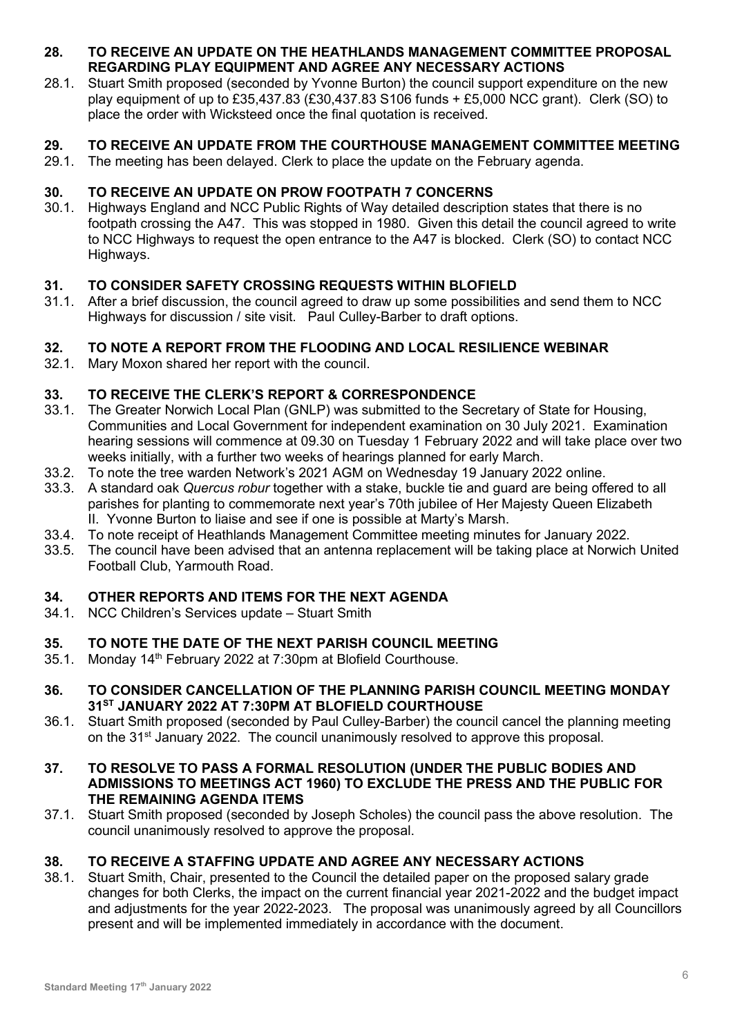# **28. TO RECEIVE AN UPDATE ON THE HEATHLANDS MANAGEMENT COMMITTEE PROPOSAL REGARDING PLAY EQUIPMENT AND AGREE ANY NECESSARY ACTIONS**

28.1. Stuart Smith proposed (seconded by Yvonne Burton) the council support expenditure on the new play equipment of up to £35,437.83 (£30,437.83 S106 funds + £5,000 NCC grant). Clerk (SO) to place the order with Wicksteed once the final quotation is received.

# **29. TO RECEIVE AN UPDATE FROM THE COURTHOUSE MANAGEMENT COMMITTEE MEETING**

29.1. The meeting has been delayed. Clerk to place the update on the February agenda.

# **30. TO RECEIVE AN UPDATE ON PROW FOOTPATH 7 CONCERNS**

30.1. Highways England and NCC Public Rights of Way detailed description states that there is no footpath crossing the A47. This was stopped in 1980. Given this detail the council agreed to write to NCC Highways to request the open entrance to the A47 is blocked. Clerk (SO) to contact NCC Highways.

# **31. TO CONSIDER SAFETY CROSSING REQUESTS WITHIN BLOFIELD**

31.1. After a brief discussion, the council agreed to draw up some possibilities and send them to NCC Highways for discussion / site visit. Paul Culley-Barber to draft options.

# **32. TO NOTE A REPORT FROM THE FLOODING AND LOCAL RESILIENCE WEBINAR**

32.1. Mary Moxon shared her report with the council.

# **33. TO RECEIVE THE CLERK'S REPORT & CORRESPONDENCE**

- 33.1. The Greater Norwich Local Plan (GNLP) was submitted to the Secretary of State for Housing, Communities and Local Government for independent examination on 30 July 2021. Examination hearing sessions will commence at 09.30 on Tuesday 1 February 2022 and will take place over two weeks initially, with a further two weeks of hearings planned for early March.
- 33.2. To note the tree warden Network's 2021 AGM on Wednesday 19 January 2022 online.
- 33.3. A standard oak *Quercus robur* together with a stake, buckle tie and guard are being offered to all parishes for planting to commemorate next year's 70th jubilee of Her Majesty Queen Elizabeth II. Yvonne Burton to liaise and see if one is possible at Marty's Marsh.
- 33.4. To note receipt of Heathlands Management Committee meeting minutes for January 2022.
- 33.5. The council have been advised that an antenna replacement will be taking place at Norwich United Football Club, Yarmouth Road.

# **34. OTHER REPORTS AND ITEMS FOR THE NEXT AGENDA**

34.1. NCC Children's Services update – Stuart Smith

# **35. TO NOTE THE DATE OF THE NEXT PARISH COUNCIL MEETING**

- 35.1. Monday 14<sup>th</sup> February 2022 at 7:30pm at Blofield Courthouse.
- **36. TO CONSIDER CANCELLATION OF THE PLANNING PARISH COUNCIL MEETING MONDAY 31ST JANUARY 2022 AT 7:30PM AT BLOFIELD COURTHOUSE**
- 36.1. Stuart Smith proposed (seconded by Paul Culley-Barber) the council cancel the planning meeting on the 31st January 2022. The council unanimously resolved to approve this proposal.

#### **37. TO RESOLVE TO PASS A FORMAL RESOLUTION (UNDER THE PUBLIC BODIES AND ADMISSIONS TO MEETINGS ACT 1960) TO EXCLUDE THE PRESS AND THE PUBLIC FOR THE REMAINING AGENDA ITEMS**

37.1. Stuart Smith proposed (seconded by Joseph Scholes) the council pass the above resolution. The council unanimously resolved to approve the proposal.

# **38. TO RECEIVE A STAFFING UPDATE AND AGREE ANY NECESSARY ACTIONS**

38.1. Stuart Smith, Chair, presented to the Council the detailed paper on the proposed salary grade changes for both Clerks, the impact on the current financial year 2021-2022 and the budget impact and adjustments for the year 2022-2023. The proposal was unanimously agreed by all Councillors present and will be implemented immediately in accordance with the document.